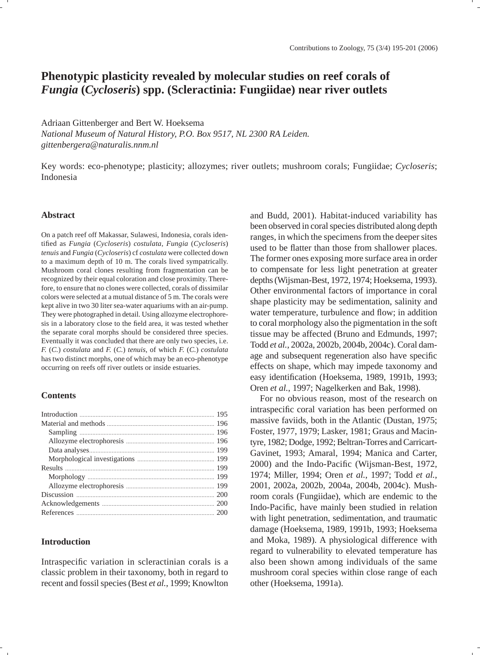# **Phenotypic plasticity revealed by molecular studies on reef corals of**  *Fungia* **(***Cycloseris***) spp. (Scleractinia: Fungiidae) near river outlets**

Adriaan Gittenberger and Bert W. Hoeksema *National Museum of Natural History, P.O. Box 9517, NL 2300 RA Leiden. gittenbergera@naturalis.nnm.nl*

Key words: eco-phenotype; plasticity; allozymes; river outlets; mushroom corals; Fungiidae; *Cycloseris*; Indonesia

## **Abstract**

On a patch reef off Makassar, Sulawesi, Indonesia, corals identifi ed as *Fungia* (*Cycloseris*) *costulata*, *Fungia* (*Cycloseris*) *tenuis* and *Fungia* (*Cycloseris*) cf *costulata* were collected down to a maximum depth of 10 m. The corals lived sympatrically. Mushroom coral clones resulting from fragmentation can be recognized by their equal coloration and close proximity. Therefore, to ensure that no clones were collected, corals of dissimilar colors were selected at a mutual distance of 5 m. The corals were kept alive in two 30 liter sea-water aquariums with an air-pump. They were photographed in detail. Using allozyme electrophoresis in a laboratory close to the field area, it was tested whether the separate coral morphs should be considered three species. Eventually it was concluded that there are only two species, i.e. *F.* (*C.*) *costulata* and *F.* (*C.*) *tenuis*, of which *F.* (*C.*) *costulata* has two distinct morphs, one of which may be an eco-phenotype occurring on reefs off river outlets or inside estuaries.

## **Contents**

## **Introduction**

Intraspecific variation in scleractinian corals is a classic problem in their taxonomy, both in regard to recent and fossil species (Best *et al.*, 1999; Knowlton

and Budd, 2001). Habitat-induced variability has been observed in coral species distributed along depth ranges, in which the specimens from the deeper sites used to be flatter than those from shallower places. The former ones exposing more surface area in order to compensate for less light penetration at greater depths (Wijsman-Best, 1972, 1974; Hoeksema, 1993). Other environmental factors of importance in coral shape plasticity may be sedimentation, salinity and water temperature, turbulence and flow; in addition to coral morphology also the pigmentation in the soft tissue may be affected (Bruno and Edmunds, 1997; Todd *et al.*, 2002a, 2002b, 2004b, 2004c). Coral damage and subsequent regeneration also have specific effects on shape, which may impede taxonomy and easy identification (Hoeksema, 1989, 1991b, 1993; Oren *et al.*, 1997; Nagelkerken and Bak, 1998).

For no obvious reason, most of the research on intraspecific coral variation has been performed on massive faviids, both in the Atlantic (Dustan, 1975; Foster, 1977, 1979; Lasker, 1981; Graus and Macintyre, 1982; Dodge, 1992; Beltran-Torres and Carricart-Gavinet, 1993; Amaral, 1994; Manica and Carter, 2000) and the Indo-Pacific (Wijsman-Best, 1972, 1974; Miller, 1994; Oren *et al.*, 1997; Todd *et al.*, 2001, 2002a, 2002b, 2004a, 2004b, 2004c). Mushroom corals (Fungiidae), which are endemic to the Indo-Pacific, have mainly been studied in relation with light penetration, sedimentation, and traumatic damage (Hoeksema, 1989, 1991b, 1993; Hoeksema and Moka, 1989). A physiological difference with regard to vulnerability to elevated temperature has also been shown among individuals of the same mushroom coral species within close range of each other (Hoeksema, 1991a).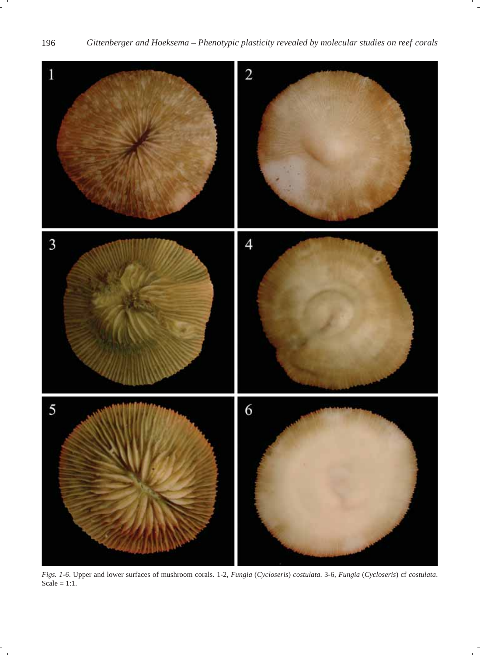

*Figs. 1-6*. Upper and lower surfaces of mushroom corals. 1-2, *Fungia* (*Cycloseris*) *costulata*. 3-6, *Fungia* (*Cycloseris*) cf *costulata*.  $Scale = 1:1.$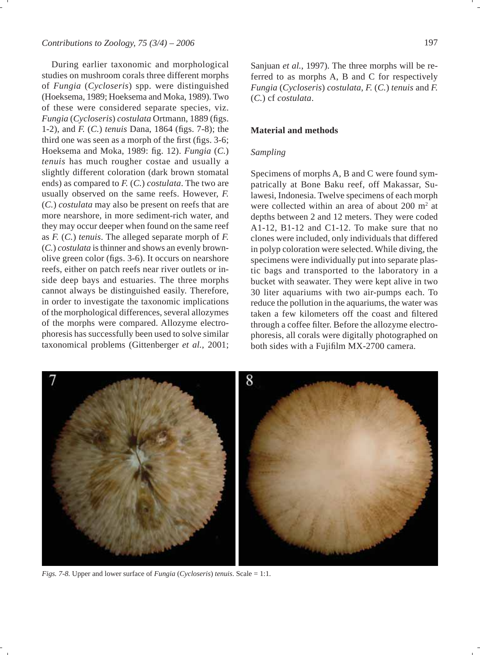During earlier taxonomic and morphological studies on mushroom corals three different morphs of *Fungia* (*Cycloseris*) spp. were distinguished (Hoeksema, 1989; Hoeksema and Moka, 1989). Two of these were considered separate species, viz. *Fungia* (*Cycloseris*) *costulata* Ortmann, 1889 (figs. 1-2), and *F.* (*C.*) *tenuis* Dana, 1864 (figs. 7-8); the third one was seen as a morph of the first (figs.  $3-6$ ; Hoeksema and Moka, 1989: fig. 12). *Fungia* (*C*.) *tenuis* has much rougher costae and usually a slightly different coloration (dark brown stomatal ends) as compared to *F.* (*C.*) *costulata*. The two are usually observed on the same reefs. However, *F.* (*C.*) *costulata* may also be present on reefs that are more nearshore, in more sediment-rich water, and they may occur deeper when found on the same reef as *F.* (*C.*) *tenuis*. The alleged separate morph of *F.* (*C.*) *costulata* is thinner and shows an evenly brownolive green color (figs. 3-6). It occurs on nearshore reefs, either on patch reefs near river outlets or inside deep bays and estuaries. The three morphs cannot always be distinguished easily. Therefore, in order to investigate the taxonomic implications of the morphological differences, several allozymes of the morphs were compared. Allozyme electrophoresis has successfully been used to solve similar taxonomical problems (Gittenberger *et al.*, 2001; Sanjuan *et al.*, 1997). The three morphs will be referred to as morphs A, B and C for respectively *Fungia* (*Cycloseris*) *costulata*, *F.* (*C.*) *tenuis* and *F.* (*C.*) cf *costulata*.

## **Material and methods**

## *Sampling*

Specimens of morphs A, B and C were found sympatrically at Bone Baku reef, off Makassar, Sulawesi, Indonesia. Twelve specimens of each morph were collected within an area of about  $200 \text{ m}^2$  at depths between 2 and 12 meters. They were coded A1-12, B1-12 and C1-12. To make sure that no clones were included, only individuals that differed in polyp coloration were selected. While diving, the specimens were individually put into separate plastic bags and transported to the laboratory in a bucket with seawater. They were kept alive in two 30 liter aquariums with two air-pumps each. To reduce the pollution in the aquariums, the water was taken a few kilometers off the coast and filtered through a coffee filter. Before the allozyme electrophoresis, all corals were digitally photographed on both sides with a Fujifilm MX-2700 camera.



*Figs. 7-8.* Upper and lower surface of *Fungia* (*Cycloseris*) *tenuis*. Scale = 1:1.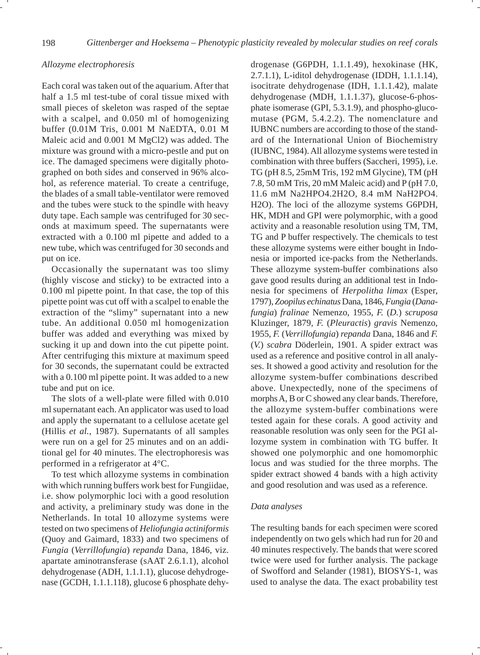## *Allozyme electrophoresis*

Each coral was taken out of the aquarium. After that half a 1.5 ml test-tube of coral tissue mixed with small pieces of skeleton was rasped of the septae with a scalpel, and 0.050 ml of homogenizing buffer (0.01M Tris, 0.001 M NaEDTA, 0.01 M Maleic acid and 0.001 M MgCl2) was added. The mixture was ground with a micro-pestle and put on ice. The damaged specimens were digitally photographed on both sides and conserved in 96% alcohol, as reference material. To create a centrifuge, the blades of a small table-ventilator were removed and the tubes were stuck to the spindle with heavy duty tape. Each sample was centrifuged for 30 seconds at maximum speed. The supernatants were extracted with a 0.100 ml pipette and added to a new tube, which was centrifuged for 30 seconds and put on ice.

Occasionally the supernatant was too slimy (highly viscose and sticky) to be extracted into a 0.100 ml pipette point. In that case, the top of this pipette point was cut off with a scalpel to enable the extraction of the "slimy" supernatant into a new tube. An additional 0.050 ml homogenization buffer was added and everything was mixed by sucking it up and down into the cut pipette point. After centrifuging this mixture at maximum speed for 30 seconds, the supernatant could be extracted with a 0.100 ml pipette point. It was added to a new tube and put on ice.

The slots of a well-plate were filled with 0.010 ml supernatant each. An applicator was used to load and apply the supernatant to a cellulose acetate gel (Hillis *et al.*, 1987). Supernatants of all samples were run on a gel for 25 minutes and on an additional gel for 40 minutes. The electrophoresis was performed in a refrigerator at 4°C.

To test which allozyme systems in combination with which running buffers work best for Fungiidae, i.e. show polymorphic loci with a good resolution and activity, a preliminary study was done in the Netherlands. In total 10 allozyme systems were tested on two specimens of *Heliofungia actiniformis*  (Quoy and Gaimard, 1833) and two specimens of *Fungia* (*Verrillofungia*) *repanda* Dana, 1846, viz. apartate aminotransferase (sAAT 2.6.1.1), alcohol dehydrogenase (ADH, 1.1.1.1), glucose dehydrogenase (GCDH, 1.1.1.118), glucose 6 phosphate dehy-

drogenase (G6PDH, 1.1.1.49), hexokinase (HK, 2.7.1.1), L-iditol dehydrogenase (IDDH, 1.1.1.14), isocitrate dehydrogenase (IDH, 1.1.1.42), malate dehydrogenase (MDH, 1.1.1.37), glucose-6-phosphate isomerase (GPI, 5.3.1.9), and phospho-glucomutase (PGM, 5.4.2.2). The nomenclature and IUBNC numbers are according to those of the standard of the International Union of Biochemistry (IUBNC, 1984). All allozyme systems were tested in combination with three buffers (Saccheri, 1995), i.e. TG (pH 8.5, 25mM Tris, 192 mM Glycine), TM (pH 7.8, 50 mM Tris, 20 mM Maleic acid) and P (pH 7.0, 11.6 mM Na2HPO4.2H2O, 8.4 mM NaH2PO4. H2O). The loci of the allozyme systems G6PDH, HK, MDH and GPI were polymorphic, with a good activity and a reasonable resolution using TM, TM, TG and P buffer respectively. The chemicals to test these allozyme systems were either bought in Indonesia or imported ice-packs from the Netherlands. These allozyme system-buffer combinations also gave good results during an additional test in Indonesia for specimens of *Herpolitha limax* (Esper, 1797), *Zoopilus echinatus* Dana, 1846, *Fungia* (*Danafungia*) *fralinae* Nemenzo, 1955, *F.* (*D.*) *scruposa* Kluzinger, 1879, *F.* (*Pleuractis*) *gravis* Nemenzo, 1955, *F.* (*Verrillofungia*) *repanda* Dana, 1846 and *F.* (*V.*) *scabra* Döderlein, 1901. A spider extract was used as a reference and positive control in all analyses. It showed a good activity and resolution for the allozyme system-buffer combinations described above. Unexpectedly, none of the specimens of morphs A, B or C showed any clear bands. Therefore, the allozyme system-buffer combinations were tested again for these corals. A good activity and reasonable resolution was only seen for the PGI allozyme system in combination with TG buffer. It showed one polymorphic and one homomorphic locus and was studied for the three morphs. The spider extract showed 4 bands with a high activity and good resolution and was used as a reference.

#### *Data analyses*

The resulting bands for each specimen were scored independently on two gels which had run for 20 and 40 minutes respectively. The bands that were scored twice were used for further analysis. The package of Swofford and Selander (1981), BIOSYS-1, was used to analyse the data. The exact probability test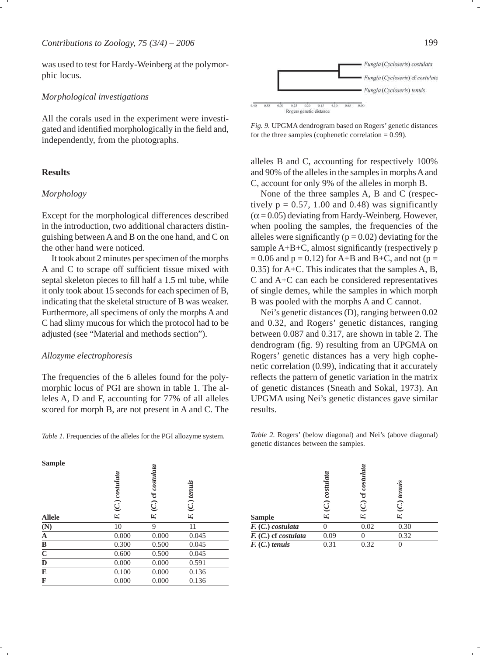was used to test for Hardy-Weinberg at the polymorphic locus.

## *Morphological investigations*

All the corals used in the experiment were investigated and identified morphologically in the field and, independently, from the photographs.

## **Results**

## *Morphology*

Except for the morphological differences described in the introduction, two additional characters distinguishing between A and B on the one hand, and C on the other hand were noticed.

It took about 2 minutes per specimen of the morphs A and C to scrape off sufficient tissue mixed with septal skeleton pieces to fill half a 1.5 ml tube, while it only took about 15 seconds for each specimen of B, indicating that the skeletal structure of B was weaker. Furthermore, all specimens of only the morphs A and C had slimy mucous for which the protocol had to be adjusted (see "Material and methods section").

#### *Allozyme electrophoresis*

The frequencies of the 6 alleles found for the polymorphic locus of PGI are shown in table 1. The alleles A, D and F, accounting for 77% of all alleles scored for morph B, are not present in A and C. The

*Table 1.* Frequencies of the alleles for the PGI allozyme system.





alleles B and C, accounting for respectively 100% and 90% of the alleles in the samples in morphs A and C, account for only 9% of the alleles in morph B.

None of the three samples A, B and C (respectively  $p = 0.57$ , 1.00 and 0.48) was significantly  $(\alpha = 0.05)$  deviating from Hardy-Weinberg. However, when pooling the samples, the frequencies of the alleles were significantly ( $p = 0.02$ ) deviating for the sample  $A+B+C$ , almost significantly (respectively p  $= 0.06$  and  $p = 0.12$ ) for A+B and B+C, and not ( $p =$ 0.35) for A+C. This indicates that the samples A, B, C and A+C can each be considered representatives of single demes, while the samples in which morph B was pooled with the morphs A and C cannot.

Nei's genetic distances (D), ranging between 0.02 and 0.32, and Rogers' genetic distances, ranging between 0.087 and 0.317, are shown in table 2. The dendrogram (fig. 9) resulting from an UPGMA on Rogers' genetic distances has a very high cophenetic correlation (0.99), indicating that it accurately reflects the pattern of genetic variation in the matrix of genetic distances (Sneath and Sokal, 1973). An UPGMA using Nei's genetic distances gave similar results.

*Table 2.* Rogers' (below diagonal) and Nei's (above diagonal) genetic distances between the samples.

| cf costulata                                                                     |  |
|----------------------------------------------------------------------------------|--|
| $(C.)$ costulata<br>F. (C.) tenuis<br>$\widehat{c}$<br>F.<br>F.<br><b>Allele</b> |  |
| (N)<br>10<br>9<br>11                                                             |  |
| $\overline{\mathbf{A}}$<br>0.000<br>0.000<br>0.045                               |  |
| $\overline{\mathbf{B}}$<br>0.500<br>0.045<br>0.300                               |  |
| $\frac{\overline{C}}{\overline{D}}$<br>0.600<br>0.500<br>0.045                   |  |
| 0.000<br>0.000<br>0.591                                                          |  |
| E<br>0.100<br>0.000<br>0.136                                                     |  |
| F<br>0.000<br>0.000<br>0.136                                                     |  |

|                        | costulata<br>$\widehat{C}$ | costula<br>ુ | $(C)$ tenuis |  |
|------------------------|----------------------------|--------------|--------------|--|
| <b>Sample</b>          | E.                         | Ŀ.,          | E.           |  |
| F. (C.) costulata      |                            | 0.02         | 0.30         |  |
| $F. (C.)$ cf costulata | 0.09                       |              | 0.32         |  |
| $F. (C.)$ tenuis       | 0.31                       | 0.32         |              |  |
|                        |                            |              |              |  |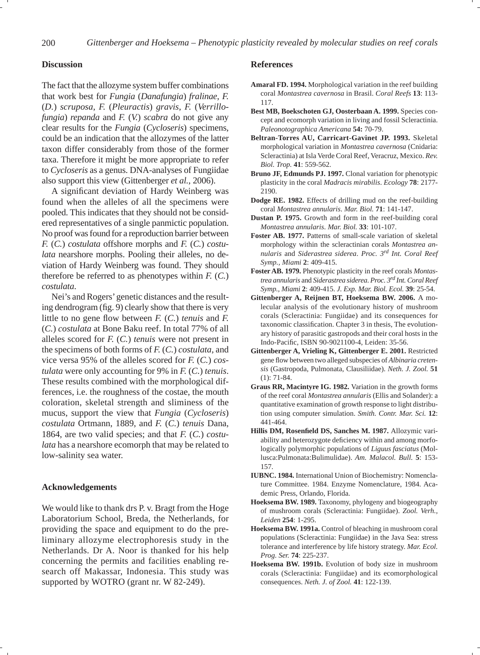#### **Discussion**

The fact that the allozyme system buffer combinations that work best for *Fungia* (*Danafungia*) *fralinae*, *F.*  (*D.*) *scruposa*, *F.* (*Pleuractis*) *gravis*, *F.* (*Verrillofungia*) *repanda* and *F.* (*V.*) *scabra* do not give any clear results for the *Fungia* (*Cycloseris*) specimens, could be an indication that the allozymes of the latter taxon differ considerably from those of the former taxa. Therefore it might be more appropriate to refer to *Cycloseris* as a genus. DNA-analyses of Fungiidae also support this view (Gittenberger *et al.*, 2006).

A significant deviation of Hardy Weinberg was found when the alleles of all the specimens were pooled. This indicates that they should not be considered representatives of a single panmictic population. No proof was found for a reproduction barrier between *F.* (*C.*) *costulata* offshore morphs and *F.* (*C.*) *costulata* nearshore morphs. Pooling their alleles, no deviation of Hardy Weinberg was found. They should therefore be referred to as phenotypes within *F.* (*C.*) *costulata*.

Nei's and Rogers' genetic distances and the resulting dendrogram (fig. 9) clearly show that there is very little to no gene flow between  $F$ . (C.) *tenuis* and  $F$ . (*C.*) *costulata* at Bone Baku reef. In total 77% of all alleles scored for *F.* (*C.*) *tenuis* were not present in the specimens of both forms of *F.* (*C.*) *costulata*, and vice versa 95% of the alleles scored for *F.* (*C.*) *costulata* were only accounting for 9% in *F.* (*C.*) *tenuis*. These results combined with the morphological differences, i.e. the roughness of the costae, the mouth coloration, skeletal strength and sliminess of the mucus, support the view that *Fungia* (*Cycloseris*) *costulata* Ortmann, 1889, and *F.* (*C.*) *tenuis* Dana, 1864, are two valid species; and that *F.* (*C.*) *costulata* has a nearshore ecomorph that may be related to low-salinity sea water.

## **Acknowledgements**

We would like to thank drs P. v. Bragt from the Hoge Laboratorium School, Breda, the Netherlands, for providing the space and equipment to do the preliminary allozyme electrophoresis study in the Netherlands. Dr A. Noor is thanked for his help concerning the permits and facilities enabling research off Makassar, Indonesia. This study was supported by WOTRO (grant nr. W 82-249).

#### **References**

- **Amaral FD. 1994.** Morphological variation in the reef building coral *Montastrea cavernosa* in Brasil. *Coral Reefs* **13**: 113- 117.
- **Best MB, Boekschoten GJ, Oosterbaan A. 1999.** Species concept and ecomorph variation in living and fossil Scleractinia. *Paleonotographica Americana* **54:** 70-79.
- **Beltran-Torres AU, Carricart-Gavinet JP. 1993.** Skeletal morphological variation in *Montastrea cavernosa* (Cnidaria: Scleractinia) at Isla Verde Coral Reef, Veracruz, Mexico. *Rev. Biol. Trop.* **41**: 559-562.
- **Bruno JF, Edmunds PJ. 1997.** Clonal variation for phenotypic plasticity in the coral *Madracis mirabilis*. *Ecology* **78**: 2177- 2190.
- **Dodge RE. 1982.** Effects of drilling mud on the reef-building coral *Montastrea annularis*. *Mar. Biol.* **71**: 141-147.
- **Dustan P. 1975.** Growth and form in the reef-building coral *Montastrea annularis*. *Mar. Biol.* **33**: 101-107.
- **Foster AB. 1977.** Patterns of small-scale variation of skeletal morphology within the scleractinian corals *Montastrea annularis* and *Siderastrea siderea*. *Proc. 3rd Int. Coral Reef Symp., Miami* **2**: 409-415.
- **Foster AB. 1979.** Phenotypic plasticity in the reef corals *Montastrea annularis* and *Siderastrea siderea*. *Proc. 3rd Int. Coral Reef Symp., Miami* **2**: 409-415. *J. Exp. Mar. Biol. Ecol.* **39**: 25-54.
- **Gittenberger A, Reijnen BT, Hoeksema BW. 2006.** A molecular analysis of the evolutionary history of mushroom corals (Scleractinia: Fungiidae) and its consequences for taxonomic classification. Chapter 3 in thesis, The evolutionary history of parasitic gastropods and their coral hosts in the Indo-Pacific, ISBN 90-9021100-4, Leiden: 35-56.
- **Gittenberger A, Vrieling K, Gittenberger E. 2001.** Restricted gene flow between two alleged subspecies of *Albinaria cretensis* (Gastropoda, Pulmonata, Clausiliidae). *Neth. J. Zool.* **51**  (1): 71-84.
- **Graus RR, Macintyre IG. 1982.** Variation in the growth forms of the reef coral *Montastrea annularis* (Ellis and Solander): a quantitative examination of growth response to light distribution using computer simulation. *Smith. Contr. Mar. Sci.* **12**: 441-464.
- **Hillis DM, Rosenfi eld DS, Sanches M. 1987.** Allozymic variability and heterozygote deficiency within and among morfologically polymorphic populations of *Liguus fasciatus* (Mollusca:Pulmonata:Bulimulidae). *Am. Malacol. Bull.* **5**: 153- 157.
- **IUBNC. 1984.** International Union of Biochemistry: Nomenclature Committee. 1984. Enzyme Nomenclature, 1984. Academic Press, Orlando, Florida.
- **Hoeksema BW. 1989.** Taxonomy, phylogeny and biogeography of mushroom corals (Scleractinia: Fungiidae). *Zool. Verh., Leiden* **254**: 1-295.
- **Hoeksema BW. 1991a.** Control of bleaching in mushroom coral populations (Scleractinia: Fungiidae) in the Java Sea: stress tolerance and interference by life history strategy. *Mar. Ecol. Prog. Ser.* **74**: 225-237.
- **Hoeksema BW. 1991b.** Evolution of body size in mushroom corals (Scleractinia: Fungiidae) and its ecomorphological consequences. *Neth. J. of Zool.* **41**: 122-139.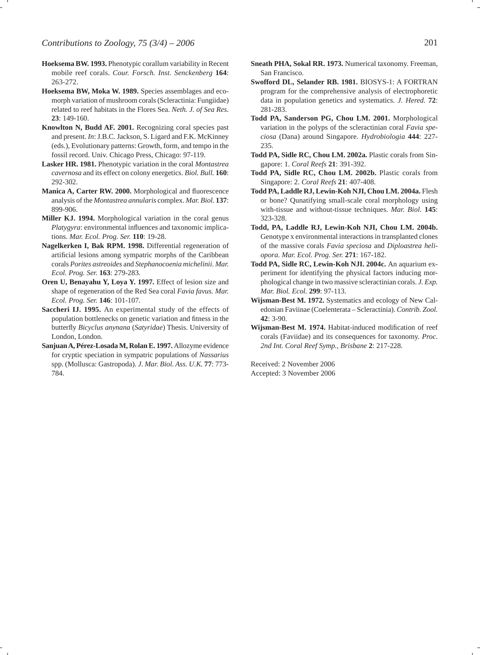- **Hoeksema BW. 1993.** Phenotypic corallum variability in Recent mobile reef corals. *Cour. Forsch. Inst. Senckenberg* **164**: 263-272.
- **Hoeksema BW, Moka W. 1989.** Species assemblages and ecomorph variation of mushroom corals (Scleractinia: Fungiidae) related to reef habitats in the Flores Sea. *Neth. J. of Sea Res.*  **23**: 149-160.
- **Knowlton N, Budd AF. 2001.** Recognizing coral species past and present. *In*: J.B.C. Jackson, S. Ligard and F.K. McKinney (eds.), Evolutionary patterns: Growth, form, and tempo in the fossil record. Univ. Chicago Press, Chicago: 97-119.
- **Lasker HR. 1981.** Phenotypic variation in the coral *Montastrea cavernosa* and its effect on colony energetics. *Biol. Bull.* **160**: 292-302.
- **Manica A, Carter RW. 2000.** Morphological and fluorescence analysis of the *Montastrea annularis* complex. *Mar. Biol.* **137**: 899-906.
- **Miller KJ. 1994.** Morphological variation in the coral genus *Platygyra*: environmental influences and taxonomic implications. *Mar. Ecol. Prog. Ser.* **110**: 19-28.
- **Nagelkerken I, Bak RPM. 1998.** Differential regeneration of artificial lesions among sympatric morphs of the Caribbean corals *Porites astreoides* and *Stephanocoenia michelinii*. *Mar. Ecol. Prog. Ser.* **163**: 279-283.
- **Oren U, Benayahu Y, Loya Y. 1997.** Effect of lesion size and shape of regeneration of the Red Sea coral *Favia favus. Mar. Ecol. Prog. Ser.* **146**: 101-107.
- **Saccheri IJ. 1995.** An experimental study of the effects of population bottlenecks on genetic variation and fitness in the butterfly *Bicyclus anynana* (*Satyridae*) Thesis. University of London, London.
- **Sanjuan A, Pérez-Losada M, Rolan E. 1997.** Allozyme evidence for cryptic speciation in sympatric populations of *Nassarius* spp. (Mollusca: Gastropoda). *J. Mar. Biol. Ass. U.K.* **77**: 773- 784.
- **Sneath PHA, Sokal RR. 1973.** Numerical taxonomy. Freeman, San Francisco.
- **Swofford DL, Selander RB. 1981.** BIOSYS-1: A FORTRAN program for the comprehensive analysis of electrophoretic data in population genetics and systematics. *J. Hered.* **72**: 281-283.
- **Todd PA, Sanderson PG, Chou LM. 2001.** Morphological variation in the polyps of the scleractinian coral *Favia speciosa* (Dana) around Singapore. *Hydrobiologia* **444**: 227- 235.
- **Todd PA, Sidle RC, Chou LM. 2002a.** Plastic corals from Singapore: 1. *Coral Reefs* **21**: 391-392.
- **Todd PA, Sidle RC, Chou LM. 2002b.** Plastic corals from Singapore: 2. *Coral Reefs* **21**: 407-408.
- **Todd PA, Laddle RJ, Lewin-Koh NJI, Chou LM. 2004a.** Flesh or bone? Qunatifying small-scale coral morphology using with-tissue and without-tissue techniques. *Mar. Biol.* **145**: 323-328.
- **Todd, PA, Laddle RJ, Lewin-Koh NJI, Chou LM. 2004b.**  Genotype x environmental interactions in transplanted clones of the massive corals *Favia speciosa* and *Diploastrea heliopora*. *Mar. Ecol. Prog. Ser.* **271**: 167-182.
- **Todd PA, Sidle RC, Lewin-Koh NJI. 2004c.** An aquarium experiment for identifying the physical factors inducing morphological change in two massive scleractinian corals. *J. Exp. Mar. Biol. Ecol.* **299**: 97-113.
- **Wijsman-Best M. 1972.** Systematics and ecology of New Caledonian Faviinae (Coelenterata – Scleractinia). *Contrib. Zool.* **42**: 3-90.
- Wijsman-Best M. 1974. Habitat-induced modification of reef corals (Faviidae) and its consequences for taxonomy. *Proc. 2nd Int. Coral Reef Symp., Brisbane* **2**: 217-228.

Received: 2 November 2006 Accepted: 3 November 2006